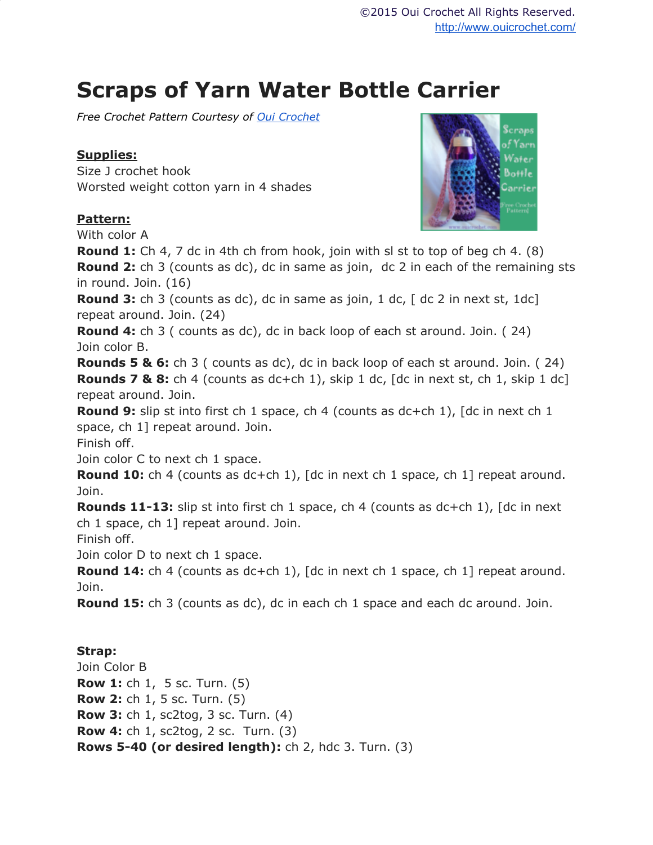## **Scraps of Yarn Water Bottle Carrier**

*Free Crochet Pattern Courtesy of Oui [Crochet](http://www.ouicrochet.com/)*

## **Supplies:**

Size J crochet hook Worsted weight cotton yarn in 4 shades

## **Pattern:**



With color A

**Round 1:** Ch 4, 7 dc in 4th ch from hook, join with sl st to top of beg ch 4. (8) **Round 2:** ch 3 (counts as dc), dc in same as join, dc 2 in each of the remaining sts in round. Join. (16)

**Round 3:** ch 3 (counts as dc), dc in same as join, 1 dc, [ dc 2 in next st, 1dc] repeat around. Join. (24)

**Round 4:** ch 3 ( counts as dc), dc in back loop of each st around. Join. ( 24) Join color B.

**Rounds 5 & 6:** ch 3 ( counts as dc), dc in back loop of each st around. Join. ( 24) **Rounds 7 & 8:** ch 4 (counts as dc+ch 1), skip 1 dc, [dc in next st, ch 1, skip 1 dc] repeat around. Join.

**Round 9:** slip st into first ch 1 space, ch 4 (counts as dc+ch 1), [dc in next ch 1 space, ch 1] repeat around. Join.

Finish off.

Join color C to next ch 1 space.

**Round 10:** ch 4 (counts as dc+ch 1), [dc in next ch 1 space, ch 1] repeat around. Join.

**Rounds 11-13:** slip st into first ch 1 space, ch 4 (counts as dc+ch 1), [dc in next ch 1 space, ch 1] repeat around. Join.

Finish off.

Join color D to next ch 1 space.

**Round 14:** ch 4 (counts as dc+ch 1), [dc in next ch 1 space, ch 1] repeat around. Join.

**Round 15:** ch 3 (counts as dc), dc in each ch 1 space and each dc around. Join.

## **Strap:**

Join Color B **Row 1:** ch 1, 5 sc. Turn. (5) **Row 2:** ch 1, 5 sc. Turn. (5) **Row 3:** ch 1, sc2tog, 3 sc. Turn. (4) **Row 4:** ch 1, sc2tog, 2 sc. Turn. (3) **Rows 5-40 (or desired length):** ch 2, hdc 3. Turn. (3)